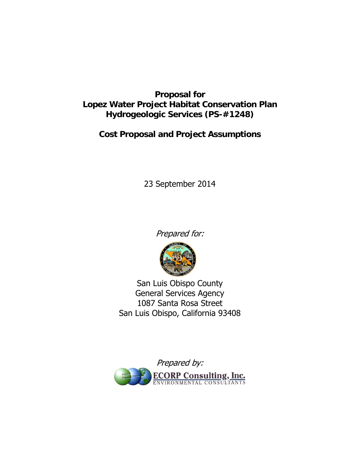# **Proposal for Lopez Water Project Habitat Conservation Plan Hydrogeologic Services (PS-#1248)**

# **Cost Proposal and Project Assumptions**

23 September 2014

Prepared for:



San Luis Obispo County General Services Agency 1087 Santa Rosa Street San Luis Obispo, California 93408

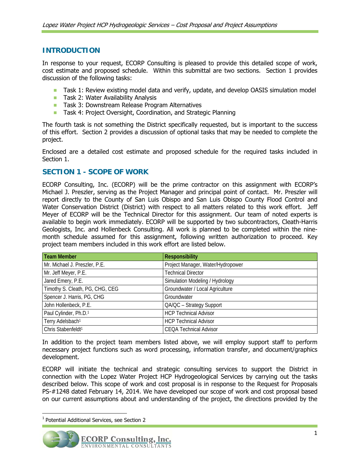# **INTRODUCTION**

In response to your request, ECORP Consulting is pleased to provide this detailed scope of work, cost estimate and proposed schedule. Within this submittal are two sections. Section 1 provides discussion of the following tasks:

- **Task 1: Review existing model data and verify, update, and develop OASIS simulation model**
- Task 2: Water Availability Analysis
- **Task 3: Downstream Release Program Alternatives**
- **Task 4: Project Oversight, Coordination, and Strategic Planning**

The fourth task is not something the District specifically requested, but is important to the success of this effort. Section 2 provides a discussion of optional tasks that may be needed to complete the project.

Enclosed are a detailed cost estimate and proposed schedule for the required tasks included in Section 1.

# **SECTION 1 - SCOPE OF WORK**

ECORP Consulting, Inc. (ECORP) will be the prime contractor on this assignment with ECORP's Michael J. Preszler, serving as the Project Manager and principal point of contact. Mr. Preszler will report directly to the County of San Luis Obispo and San Luis Obispo County Flood Control and Water Conservation District (District) with respect to all matters related to this work effort. Jeff Meyer of ECORP will be the Technical Director for this assignment. Our team of noted experts is available to begin work immediately. ECORP will be supported by two subcontractors, Cleath-Harris Geologists, Inc. and Hollenbeck Consulting. All work is planned to be completed within the ninemonth schedule assumed for this assignment, following written authorization to proceed. Key project team members included in this work effort are listed below.

| <b>Team Member</b>              | <b>Responsibility</b>             |
|---------------------------------|-----------------------------------|
| Mr. Michael J. Preszler, P.E.   | Project Manager, Water/Hydropower |
| Mr. Jeff Meyer, P.E.            | <b>Technical Director</b>         |
| Jared Emery, P.E.               | Simulation Modeling / Hydrology   |
| Timothy S. Cleath, PG, CHG, CEG | Groundwater / Local Agriculture   |
| Spencer J. Harris, PG, CHG      | Groundwater                       |
| John Hollenbeck, P.E.           | QA/QC - Strategy Support          |
| Paul Cylinder, Ph.D.1           | <b>HCP Technical Advisor</b>      |
| Terry Adelsbach <sup>1</sup>    | <b>HCP Technical Advisor</b>      |
| Chris Stabenfeldt <sup>1</sup>  | <b>CEQA Technical Advisor</b>     |

In addition to the project team members listed above, we will employ support staff to perform necessary project functions such as word processing, information transfer, and document/graphics development.

ECORP will initiate the technical and strategic consulting services to support the District in connection with the Lopez Water Project HCP Hydrogeological Services by carrying out the tasks described below. This scope of work and cost proposal is in response to the Request for Proposals PS-#1248 dated February 14, 2014. We have developed our scope of work and cost proposal based on our current assumptions about and understanding of the project, the directions provided by the



 $1$  Potential Additional Services, see Section 2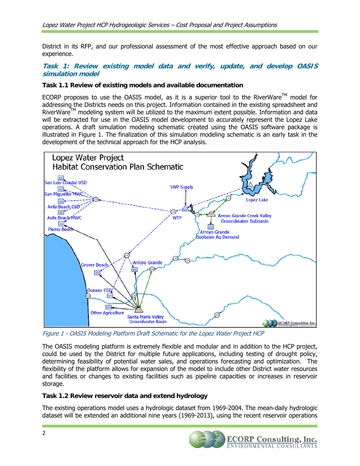District in its RFP, and our professional assessment of the most effective approach based on our experience.

# **Task 1: Review existing model data and verify, update, and develop OASIS simulation model**

#### **Task 1.1 Review of existing models and available documentation**

ECORP proposes to use the OASIS model, as it is a superior tool to the RiverWare<sup>TM</sup> model for addressing the Districts needs on this project. Information contained in the existing spreadsheet and RiverWare<sup>TM</sup> modeling system will be utilized to the maximum extent possible. Information and data will be extracted for use in the OASIS model development to accurately represent the Lopez Lake operations. A draft simulation modeling schematic created using the OASIS software package is illustrated in Figure 1. The finalization of this simulation modeling schematic is an early task in the development of the technical approach for the HCP analysis.



Figure 1 - OASIS Modeling Platform Draft Schematic for the Lopez Water Project HCP

The OASIS modeling platform is extremely flexible and modular and in addition to the HCP project, could be used by the District for multiple future applications, including testing of drought policy, determining feasibility of potential water sales, and operations forecasting and optimization. The flexibility of the platform allows for expansion of the model to include other District water resources and facilities or changes to existing facilities such as pipeline capacities or increases in reservoir storage.

# **Task 1.2 Review reservoir data and extend hydrology**

The existing operations model uses a hydrologic dataset from 1969-2004. The mean-daily hydrologic dataset will be extended an additional nine years (1969-2013), using the recent reservoir operations

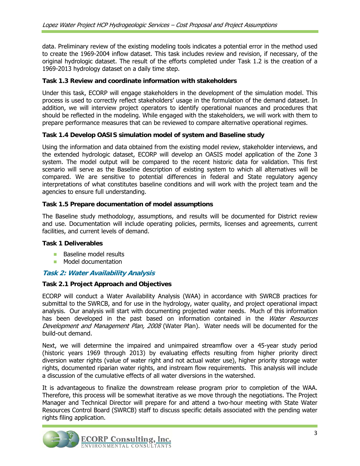data. Preliminary review of the existing modeling tools indicates a potential error in the method used to create the 1969-2004 inflow dataset. This task includes review and revision, if necessary, of the original hydrologic dataset. The result of the efforts completed under Task 1.2 is the creation of a 1969-2013 hydrology dataset on a daily time step.

# **Task 1.3 Review and coordinate information with stakeholders**

Under this task, ECORP will engage stakeholders in the development of the simulation model. This process is used to correctly reflect stakeholders' usage in the formulation of the demand dataset. In addition, we will interview project operators to identify operational nuances and procedures that should be reflected in the modeling. While engaged with the stakeholders, we will work with them to prepare performance measures that can be reviewed to compare alternative operational regimes.

#### **Task 1.4 Develop OASIS simulation model of system and Baseline study**

Using the information and data obtained from the existing model review, stakeholder interviews, and the extended hydrologic dataset, ECORP will develop an OASIS model application of the Zone 3 system. The model output will be compared to the recent historic data for validation. This first scenario will serve as the Baseline description of existing system to which all alternatives will be compared. We are sensitive to potential differences in federal and State regulatory agency interpretations of what constitutes baseline conditions and will work with the project team and the agencies to ensure full understanding.

#### **Task 1.5 Prepare documentation of model assumptions**

The Baseline study methodology, assumptions, and results will be documented for District review and use. Documentation will include operating policies, permits, licenses and agreements, current facilities, and current levels of demand.

#### **Task 1 Deliverables**

- **Baseline model results**
- **Model documentation**

# **Task 2: Water Availability Analysis**

# **Task 2.1 Project Approach and Objectives**

ECORP will conduct a Water Availability Analysis (WAA) in accordance with SWRCB practices for submittal to the SWRCB, and for use in the hydrology, water quality, and project operational impact analysis. Our analysis will start with documenting projected water needs. Much of this information has been developed in the past based on information contained in the Water Resources Development and Management Plan, 2008 (Water Plan). Water needs will be documented for the build-out demand.

Next, we will determine the impaired and unimpaired streamflow over a 45-year study period (historic years 1969 through 2013) by evaluating effects resulting from higher priority direct diversion water rights (value of water right and not actual water use), higher priority storage water rights, documented riparian water rights, and instream flow requirements. This analysis will include a discussion of the cumulative effects of all water diversions in the watershed.

It is advantageous to finalize the downstream release program prior to completion of the WAA. Therefore, this process will be somewhat iterative as we move through the negotiations. The Project Manager and Technical Director will prepare for and attend a two-hour meeting with State Water Resources Control Board (SWRCB) staff to discuss specific details associated with the pending water rights filing application.

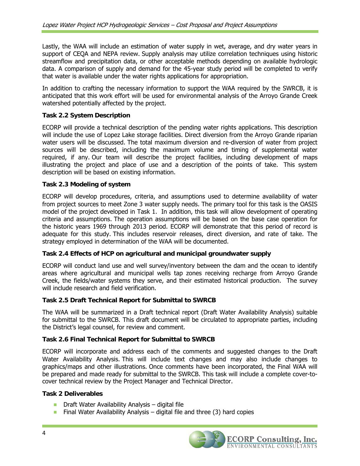Lastly, the WAA will include an estimation of water supply in wet, average, and dry water years in support of CEQA and NEPA review. Supply analysis may utilize correlation techniques using historic streamflow and precipitation data, or other acceptable methods depending on available hydrologic data. A comparison of supply and demand for the 45-year study period will be completed to verify that water is available under the water rights applications for appropriation.

In addition to crafting the necessary information to support the WAA required by the SWRCB, it is anticipated that this work effort will be used for environmental analysis of the Arroyo Grande Creek watershed potentially affected by the project.

### **Task 2.2 System Description**

ECORP will provide a technical description of the pending water rights applications. This description will include the use of Lopez Lake storage facilities. Direct diversion from the Arroyo Grande riparian water users will be discussed. The total maximum diversion and re-diversion of water from project sources will be described, including the maximum volume and timing of supplemental water required, if any. Our team will describe the project facilities, including development of maps illustrating the project and place of use and a description of the points of take. This system description will be based on existing information.

#### **Task 2.3 Modeling of system**

ECORP will develop procedures, criteria, and assumptions used to determine availability of water from project sources to meet Zone 3 water supply needs. The primary tool for this task is the OASIS model of the project developed in Task 1. In addition, this task will allow development of operating criteria and assumptions. The operation assumptions will be based on the base case operation for the historic years 1969 through 2013 period. ECORP will demonstrate that this period of record is adequate for this study. This includes reservoir releases, direct diversion, and rate of take. The strategy employed in determination of the WAA will be documented.

#### **Task 2.4 Effects of HCP on agricultural and municipal groundwater supply**

ECORP will conduct land use and well survey/inventory between the dam and the ocean to identify areas where agricultural and municipal wells tap zones receiving recharge from Arroyo Grande Creek, the fields/water systems they serve, and their estimated historical production. The survey will include research and field verification.

#### **Task 2.5 Draft Technical Report for Submittal to SWRCB**

The WAA will be summarized in a Draft technical report (Draft Water Availability Analysis) suitable for submittal to the SWRCB. This draft document will be circulated to appropriate parties, including the District's legal counsel, for review and comment.

# **Task 2.6 Final Technical Report for Submittal to SWRCB**

ECORP will incorporate and address each of the comments and suggested changes to the Draft Water Availability Analysis. This will include text changes and may also include changes to graphics/maps and other illustrations. Once comments have been incorporated, the Final WAA will be prepared and made ready for submittal to the SWRCB. This task will include a complete cover-tocover technical review by the Project Manager and Technical Director.

#### **Task 2 Deliverables**

- $\blacksquare$  Draft Water Availability Analysis digital file
- **Final Water Availability Analysis digital file and three (3) hard copies**

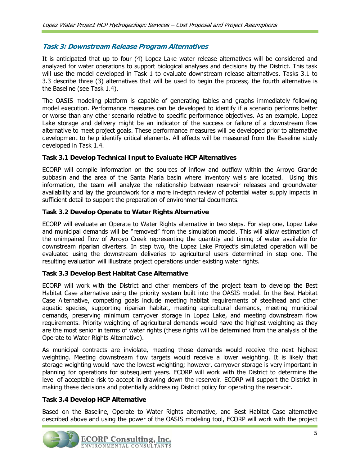# **Task 3: Downstream Release Program Alternatives**

It is anticipated that up to four (4) Lopez Lake water release alternatives will be considered and analyzed for water operations to support biological analyses and decisions by the District. This task will use the model developed in Task 1 to evaluate downstream release alternatives. Tasks 3.1 to 3.3 describe three (3) alternatives that will be used to begin the process; the fourth alternative is the Baseline (see Task 1.4).

The OASIS modeling platform is capable of generating tables and graphs immediately following model execution. Performance measures can be developed to identify if a scenario performs better or worse than any other scenario relative to specific performance objectives. As an example, Lopez Lake storage and delivery might be an indicator of the success or failure of a downstream flow alternative to meet project goals. These performance measures will be developed prior to alternative development to help identify critical elements. All effects will be measured from the Baseline study developed in Task 1.4.

# **Task 3.1 Develop Technical Input to Evaluate HCP Alternatives**

ECORP will compile information on the sources of inflow and outflow within the Arroyo Grande subbasin and the area of the Santa Maria basin where inventory wells are located. Using this information, the team will analyze the relationship between reservoir releases and groundwater availability and lay the groundwork for a more in-depth review of potential water supply impacts in sufficient detail to support the preparation of environmental documents.

#### **Task 3.2 Develop Operate to Water Rights Alternative**

ECORP will evaluate an Operate to Water Rights alternative in two steps. For step one, Lopez Lake and municipal demands will be "removed" from the simulation model. This will allow estimation of the unimpaired flow of Arroyo Creek representing the quantity and timing of water available for downstream riparian diverters. In step two, the Lopez Lake Project's simulated operation will be evaluated using the downstream deliveries to agricultural users determined in step one. The resulting evaluation will illustrate project operations under existing water rights.

# **Task 3.3 Develop Best Habitat Case Alternative**

ECORP will work with the District and other members of the project team to develop the Best Habitat Case alternative using the priority system built into the OASIS model. In the Best Habitat Case Alternative, competing goals include meeting habitat requirements of steelhead and other aquatic species, supporting riparian habitat, meeting agricultural demands, meeting municipal demands, preserving minimum carryover storage in Lopez Lake, and meeting downstream flow requirements. Priority weighting of agricultural demands would have the highest weighting as they are the most senior in terms of water rights (these rights will be determined from the analysis of the Operate to Water Rights Alternative).

As municipal contracts are inviolate, meeting those demands would receive the next highest weighting. Meeting downstream flow targets would receive a lower weighting. It is likely that storage weighting would have the lowest weighting; however, carryover storage is very important in planning for operations for subsequent years. ECORP will work with the District to determine the level of acceptable risk to accept in drawing down the reservoir. ECORP will support the District in making these decisions and potentially addressing District policy for operating the reservoir.

#### **Task 3.4 Develop HCP Alternative**

Based on the Baseline, Operate to Water Rights alternative, and Best Habitat Case alternative described above and using the power of the OASIS modeling tool, ECORP will work with the project

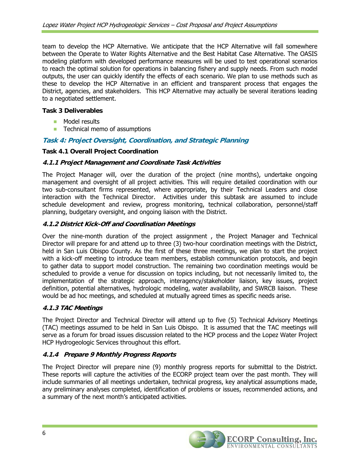team to develop the HCP Alternative. We anticipate that the HCP Alternative will fall somewhere between the Operate to Water Rights Alternative and the Best Habitat Case Alternative. The OASIS modeling platform with developed performance measures will be used to test operational scenarios to reach the optimal solution for operations in balancing fishery and supply needs. From such model outputs, the user can quickly identify the effects of each scenario. We plan to use methods such as these to develop the HCP Alternative in an efficient and transparent process that engages the District, agencies, and stakeholders. This HCP Alternative may actually be several iterations leading to a negotiated settlement.

# **Task 3 Deliverables**

- **Model results**
- Technical memo of assumptions

# **Task 4: Project Oversight, Coordination, and Strategic Planning**

# **Task 4.1 Overall Project Coordination**

#### **4.1.1 Project Management and Coordinate Task Activities**

The Project Manager will, over the duration of the project (nine months), undertake ongoing management and oversight of all project activities. This will require detailed coordination with our two sub-consultant firms represented, where appropriate, by their Technical Leaders and close interaction with the Technical Director. Activities under this subtask are assumed to include schedule development and review, progress monitoring, technical collaboration, personnel/staff planning, budgetary oversight, and ongoing liaison with the District.

# **4.1.2 District Kick-Off and Coordination Meetings**

Over the nine-month duration of the project assignment , the Project Manager and Technical Director will prepare for and attend up to three (3) two-hour coordination meetings with the District, held in San Luis Obispo County. As the first of these three meetings, we plan to start the project with a kick-off meeting to introduce team members, establish communication protocols, and begin to gather data to support model construction. The remaining two coordination meetings would be scheduled to provide a venue for discussion on topics including, but not necessarily limited to, the implementation of the strategic approach, interagency/stakeholder liaison, key issues, project definition, potential alternatives, hydrologic modeling, water availability, and SWRCB liaison. These would be ad hoc meetings, and scheduled at mutually agreed times as specific needs arise.

# **4.1.3 TAC Meetings**

The Project Director and Technical Director will attend up to five (5) Technical Advisory Meetings (TAC) meetings assumed to be held in San Luis Obispo. It is assumed that the TAC meetings will serve as a forum for broad issues discussion related to the HCP process and the Lopez Water Project HCP Hydrogeologic Services throughout this effort.

# **4.1.4 Prepare 9 Monthly Progress Reports**

The Project Director will prepare nine (9) monthly progress reports for submittal to the District. These reports will capture the activities of the ECORP project team over the past month. They will include summaries of all meetings undertaken, technical progress, key analytical assumptions made, any preliminary analyses completed, identification of problems or issues, recommended actions, and a summary of the next month's anticipated activities.

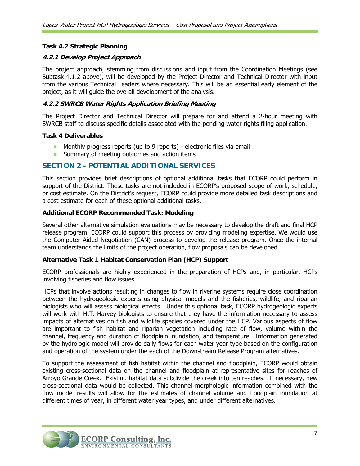# **Task 4.2 Strategic Planning**

#### **4.2.1 Develop Project Approach**

The project approach, stemming from discussions and input from the Coordination Meetings (see Subtask 4.1.2 above), will be developed by the Project Director and Technical Director with input from the various Technical Leaders where necessary. This will be an essential early element of the project, as it will guide the overall development of the analysis.

#### **4.2.2 SWRCB Water Rights Application Briefing Meeting**

The Project Director and Technical Director will prepare for and attend a 2-hour meeting with SWRCB staff to discuss specific details associated with the pending water rights filing application.

#### **Task 4 Deliverables**

- **Monthly progress reports (up to 9 reports)** electronic files via email
- **Summary of meeting outcomes and action items**

# **SECTION 2 - POTENTIAL ADDITIONAL SERVICES**

This section provides brief descriptions of optional additional tasks that ECORP could perform in support of the District. These tasks are not included in ECORP's proposed scope of work, schedule, or cost estimate. On the District's request, ECORP could provide more detailed task descriptions and a cost estimate for each of these optional additional tasks.

#### **Additional ECORP Recommended Task: Modeling**

Several other alternative simulation evaluations may be necessary to develop the draft and final HCP release program. ECORP could support this process by providing modeling expertise. We would use the Computer Aided Negotiation (CAN) process to develop the release program. Once the internal team understands the limits of the project operation, flow proposals can be developed.

#### **Alternative Task 1 Habitat Conservation Plan (HCP) Support**

ECORP professionals are highly experienced in the preparation of HCPs and, in particular, HCPs involving fisheries and flow issues.

HCPs that involve actions resulting in changes to flow in riverine systems require close coordination between the hydrogeologic experts using physical models and the fisheries, wildlife, and riparian biologists who will assess biological effects. Under this optional task, ECORP hydrogeologic experts will work with H.T. Harvey biologists to ensure that they have the information necessary to assess impacts of alternatives on fish and wildlife species covered under the HCP. Various aspects of flow are important to fish habitat and riparian vegetation including rate of flow, volume within the channel, frequency and duration of floodplain inundation, and temperature. Information generated by the hydrologic model will provide daily flows for each water year type based on the configuration and operation of the system under the each of the Downstream Release Program alternatives.

To support the assessment of fish habitat within the channel and floodplain, ECORP would obtain existing cross-sectional data on the channel and floodplain at representative sites for reaches of Arroyo Grande Creek. Existing habitat data subdivide the creek into ten reaches. If necessary, new cross-sectional data would be collected. This channel morphologic information combined with the flow model results will allow for the estimates of channel volume and floodplain inundation at different times of year, in different water year types, and under different alternatives.